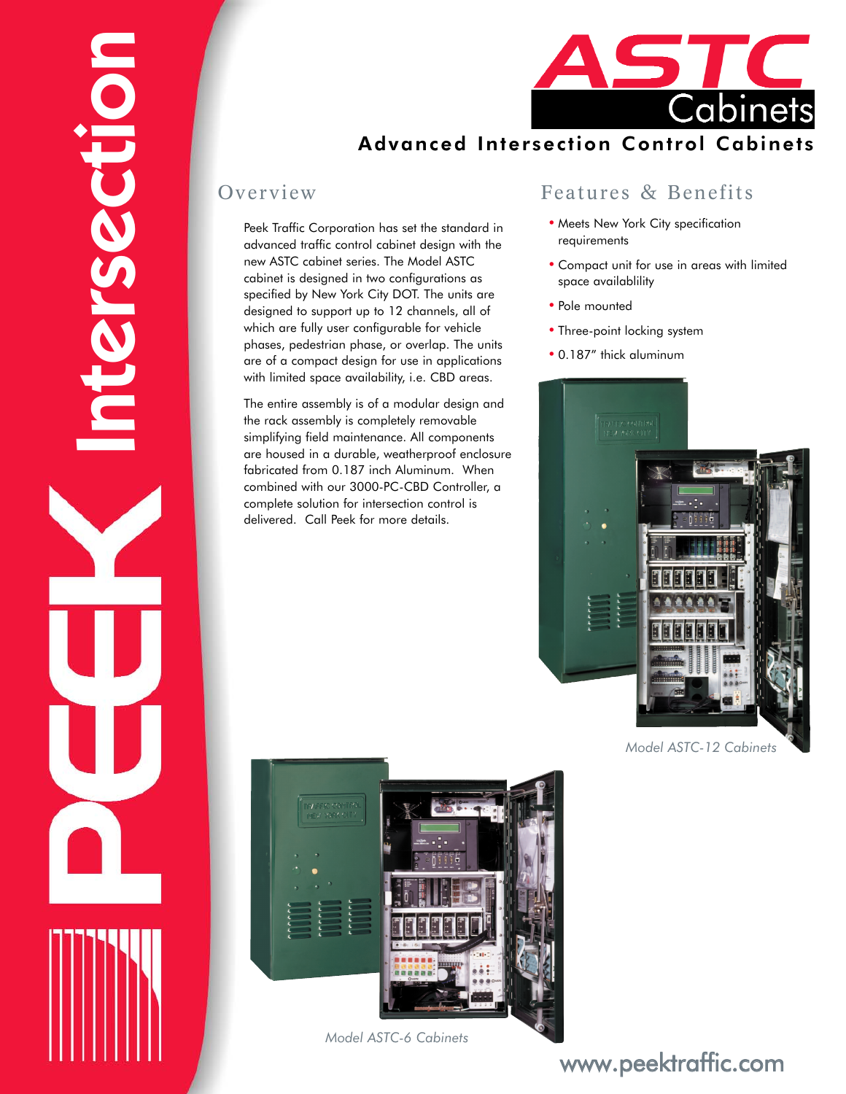



### Advanced Intersection Control Cabinets

#### Overview

Peek Traffic Corporation has set the standard in advanced traffic control cabinet design with the new ASTC cabinet series. The Model ASTC cabinet is designed in two configurations as specified by New York City DOT. The units are designed to support up to 12 channels, all of which are fully user configurable for vehicle phases, pedestrian phase, or overlap. The units are of a compact design for use in applications with limited space availability, i.e. CBD areas.

The entire assembly is of a modular design and the rack assembly is completely removable simplifying field maintenance. All components are housed in a durable, weatherproof enclosure fabricated from 0.187 inch Aluminum. When combined with our 3000-PC-CBD Controller, a complete solution for intersection control is delivered. Call Peek for more details.

#### Features & Benefits

- Meets New York City specification requirements
- Compact unit for use in areas with limited space availablility
- Pole mounted
- Three-point locking system
- 0.187" thick aluminum



*Model ASTC-12 Cabinets*



*Model ASTC-6 Cabinets*

## www.peektraffic.com